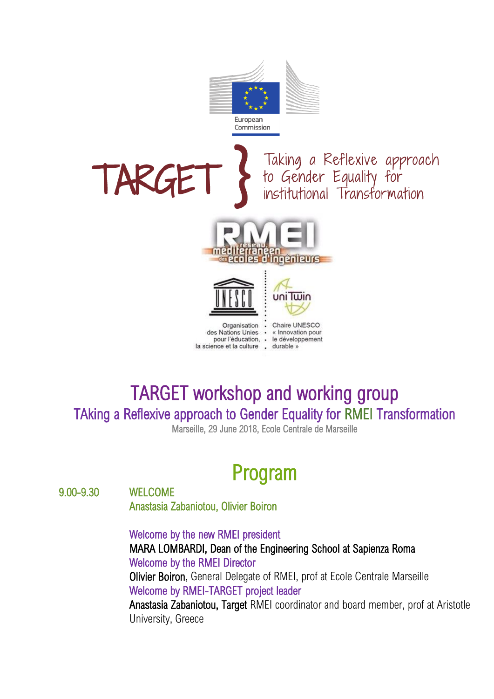

## TARGET workshop and working group TAking a Reflexive approach to Gender Equality for RMEI Transformation Marseille, 29 June 2018, Ecole Centrale de Marseille

Program

9.00-9.30 WELCOME

Anastasia Zabaniotou, Olivier Boiron

Welcome by the new RMEI president MARA LOMBARDI, Dean of the Engineering School at Sapienza Roma Welcome by the RMEI Director Olivier Boiron, General Delegate of RMEI, prof at Ecole Centrale Marseille Welcome by RMEI-TARGET project leader Anastasia Zabaniotou, Target RMEI coordinator and board member, prof at Aristotle University, Greece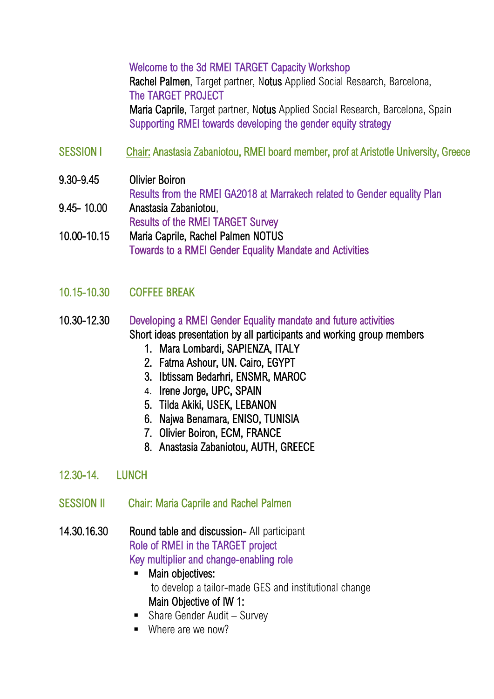Welcome to the 3d RMEI TARGET Capacity Workshop Rachel Palmen, Target partner, Notus Applied Social Research, Barcelona, The TARGET PROJECT Maria Caprile, Target partner, Notus Applied Social Research, Barcelona, Spain Supporting RMEI towards developing the gender equity strategy

- SESSION I Chair: Anastasia Zabaniotou, RMEI board member, prof at Aristotle University, Greece
- 9.30-9.45 Olivier Boiron Results from the RMEI GA2018 at Marrakech related to Gender equality Plan 9.45- 10.00 Anastasia Zabaniotou,

Results of the RMEI TARGET Survey

- 10.00-10.15 Maria Caprile, Rachel Palmen NOTUS Towards to a RMEI Gender Equality Mandate and Activities
- 10.15-10.30 COFFEE BREAK
- 10.30-12.30 Developing a RMEI Gender Equality mandate and future activities Short ideas presentation by all participants and working group members
	- 1. Mara Lombardi, SAPIENZA, ITALY
	- 2. Fatma Ashour, UN. Cairo, EGYPT
	- 3. Ibtissam Bedarhri, ENSMR, MAROC
	- 4. Irene Jorge, UPC, SPAIN
	- 5. Tilda Akiki, USEK, LEBANON
	- 6. Najwa Benamara, ENISO, TUNISIA
	- 7. Olivier Boiron, ECM, FRANCE
	- 8. Anastasia Zabaniotou, AUTH, GREECE
- 12.30-14. LUNCH
- SESSION II Chair: Maria Caprile and Rachel Palmen
- 14.30.16.30 Round table and discussion- All participant Role of RMEI in the TARGET project Key multiplier and change-enabling role
	- **■** Main objectives: to develop a tailor-made GES and institutional change Main Objective of IW 1:
	- Share Gender Audit Survey
	- Where are we now?